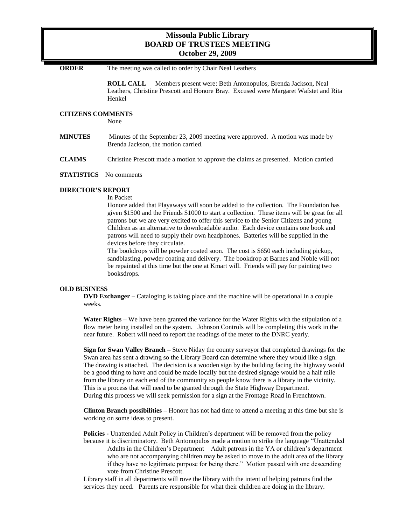# **Missoula Public Library BOARD OF TRUSTEES MEETING October 29, 2009**

**ORDER** The meeting was called to order by Chair Neal Leathers

**ROLL CALL** Members present were: Beth Antonopulos, Brenda Jackson, Neal Leathers, Christine Prescott and Honore Bray. Excused were Margaret Wafstet and Rita Henkel

# **CITIZENS COMMENTS**

None

**MINUTES** Minutes of the September 23, 2009 meeting were approved. A motion was made by Brenda Jackson, the motion carried.

**CLAIMS** Christine Prescott made a motion to approve the claims as presented. Motion carried

#### **STATISTICS** No comments

#### **DIRECTOR'S REPORT**

In Packet

Honore added that Playaways will soon be added to the collection. The Foundation has given \$1500 and the Friends \$1000 to start a collection. These items will be great for all patrons but we are very excited to offer this service to the Senior Citizens and young Children as an alternative to downloadable audio. Each device contains one book and patrons will need to supply their own headphones. Batteries will be supplied in the devices before they circulate.

The bookdrops will be powder coated soon. The cost is \$650 each including pickup, sandblasting, powder coating and delivery. The bookdrop at Barnes and Noble will not be repainted at this time but the one at Kmart will. Friends will pay for painting two booksdrops.

#### **OLD BUSINESS**

**DVD Exchanger –** Cataloging is taking place and the machine will be operational in a couple weeks.

**Water Rights –** We have been granted the variance for the Water Rights with the stipulation of a flow meter being installed on the system. Johnson Controls will be completing this work in the near future. Robert will need to report the readings of the meter to the DNRC yearly.

**Sign for Swan Valley Branch –** Steve Niday the county surveyor that completed drawings for the Swan area has sent a drawing so the Library Board can determine where they would like a sign. The drawing is attached. The decision is a wooden sign by the building facing the highway would be a good thing to have and could be made locally but the desired signage would be a half mile from the library on each end of the community so people know there is a library in the vicinity. This is a process that will need to be granted through the State Highway Department. During this process we will seek permission for a sign at the Frontage Road in Frenchtown.

**Clinton Branch possibilities –** Honore has not had time to attend a meeting at this time but she is working on some ideas to present.

**Policies -** Unattended Adult Policy in Children's department will be removed from the policy because it is discriminatory. Beth Antonopulos made a motion to strike the language "Unattended Adults in the Children's Department – Adult patrons in the YA or children's department who are not accompanying children may be asked to move to the adult area of the library if they have no legitimate purpose for being there." Motion passed with one descending vote from Christine Prescott.

Library staff in all departments will rove the library with the intent of helping patrons find the services they need. Parents are responsible for what their children are doing in the library.